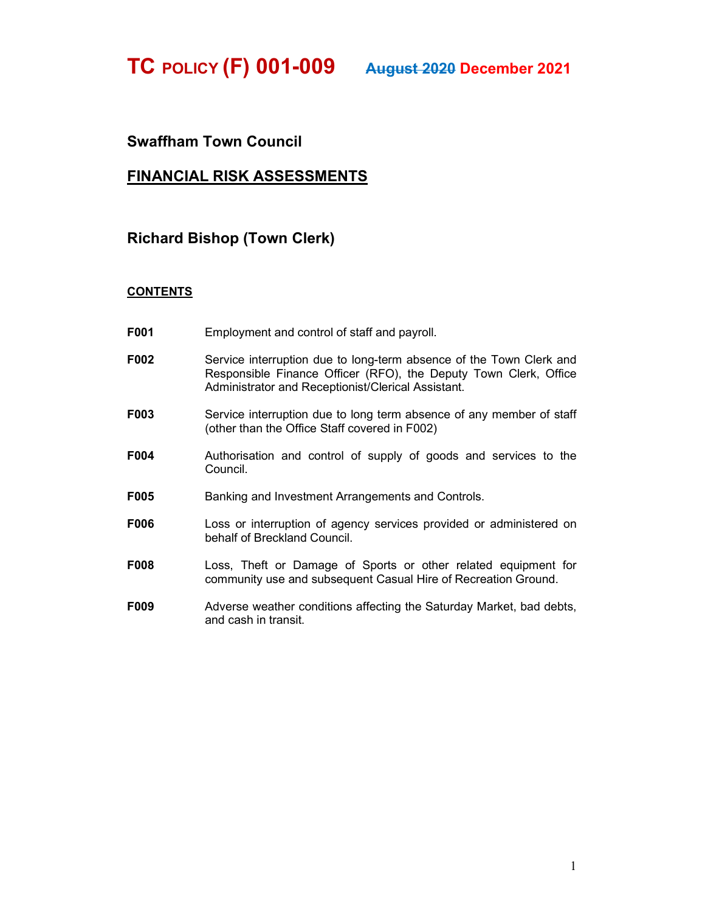TC POLICY (F) 001-009 August 2020 December 2021

## Swaffham Town Council

## FINANCIAL RISK ASSESSMENTS

## Richard Bishop (Town Clerk)

## **CONTENTS**

- F001 Employment and control of staff and payroll.
- F002 Service interruption due to long-term absence of the Town Clerk and Responsible Finance Officer (RFO), the Deputy Town Clerk, Office Administrator and Receptionist/Clerical Assistant.
- F003 Service interruption due to long term absence of any member of staff (other than the Office Staff covered in F002)
- F004 Authorisation and control of supply of goods and services to the Council.
- F005 Banking and Investment Arrangements and Controls.
- F006 Loss or interruption of agency services provided or administered on behalf of Breckland Council.
- F008 Loss, Theft or Damage of Sports or other related equipment for community use and subsequent Casual Hire of Recreation Ground.
- F009 Adverse weather conditions affecting the Saturday Market, bad debts, and cash in transit.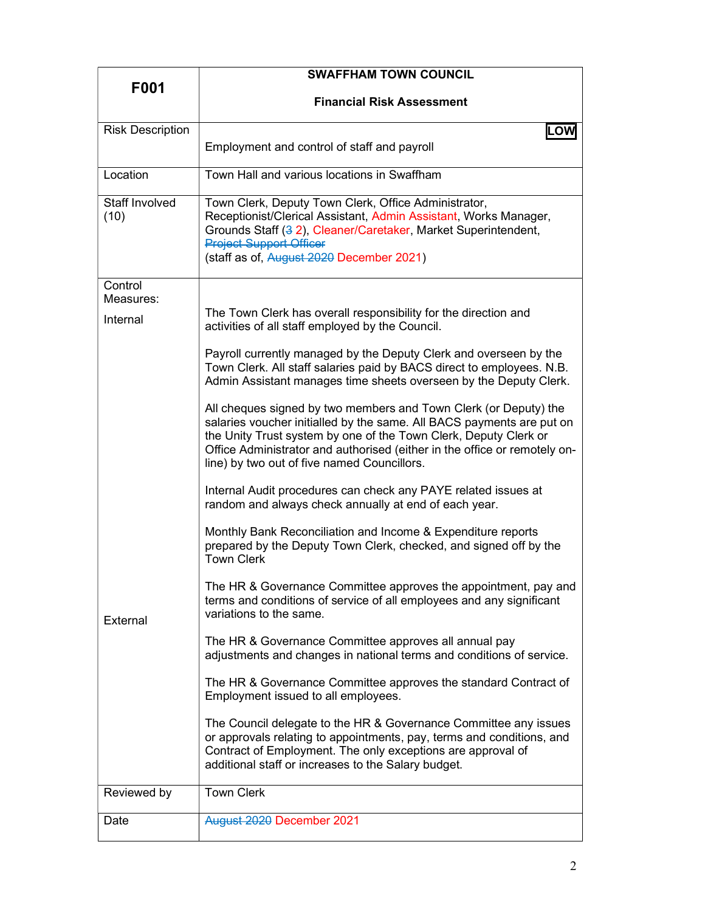|                         | <b>SWAFFHAM TOWN COUNCIL</b>                                                                                                                                                                                                                                                                                                              |
|-------------------------|-------------------------------------------------------------------------------------------------------------------------------------------------------------------------------------------------------------------------------------------------------------------------------------------------------------------------------------------|
| F001                    | <b>Financial Risk Assessment</b>                                                                                                                                                                                                                                                                                                          |
|                         |                                                                                                                                                                                                                                                                                                                                           |
| <b>Risk Description</b> | ILOW                                                                                                                                                                                                                                                                                                                                      |
|                         | Employment and control of staff and payroll                                                                                                                                                                                                                                                                                               |
| Location                | Town Hall and various locations in Swaffham                                                                                                                                                                                                                                                                                               |
| Staff Involved<br>(10)  | Town Clerk, Deputy Town Clerk, Office Administrator,<br>Receptionist/Clerical Assistant, Admin Assistant, Works Manager,<br>Grounds Staff (3 2), Cleaner/Caretaker, Market Superintendent,<br><b>Project Support Officer</b><br>(staff as of, August 2020 December 2021)                                                                  |
| Control                 |                                                                                                                                                                                                                                                                                                                                           |
| Measures:               |                                                                                                                                                                                                                                                                                                                                           |
| Internal                | The Town Clerk has overall responsibility for the direction and<br>activities of all staff employed by the Council.                                                                                                                                                                                                                       |
|                         | Payroll currently managed by the Deputy Clerk and overseen by the<br>Town Clerk. All staff salaries paid by BACS direct to employees. N.B.<br>Admin Assistant manages time sheets overseen by the Deputy Clerk.                                                                                                                           |
|                         | All cheques signed by two members and Town Clerk (or Deputy) the<br>salaries voucher initialled by the same. All BACS payments are put on<br>the Unity Trust system by one of the Town Clerk, Deputy Clerk or<br>Office Administrator and authorised (either in the office or remotely on-<br>line) by two out of five named Councillors. |
|                         | Internal Audit procedures can check any PAYE related issues at<br>random and always check annually at end of each year.                                                                                                                                                                                                                   |
| <b>External</b>         | Monthly Bank Reconciliation and Income & Expenditure reports<br>prepared by the Deputy Town Clerk, checked, and signed off by the<br><b>Town Clerk</b>                                                                                                                                                                                    |
|                         | The HR & Governance Committee approves the appointment, pay and<br>terms and conditions of service of all employees and any significant<br>variations to the same.                                                                                                                                                                        |
|                         | The HR & Governance Committee approves all annual pay<br>adjustments and changes in national terms and conditions of service.                                                                                                                                                                                                             |
|                         | The HR & Governance Committee approves the standard Contract of<br>Employment issued to all employees.                                                                                                                                                                                                                                    |
|                         | The Council delegate to the HR & Governance Committee any issues<br>or approvals relating to appointments, pay, terms and conditions, and<br>Contract of Employment. The only exceptions are approval of<br>additional staff or increases to the Salary budget.                                                                           |
| Reviewed by             | <b>Town Clerk</b>                                                                                                                                                                                                                                                                                                                         |
| Date                    | August 2020 December 2021                                                                                                                                                                                                                                                                                                                 |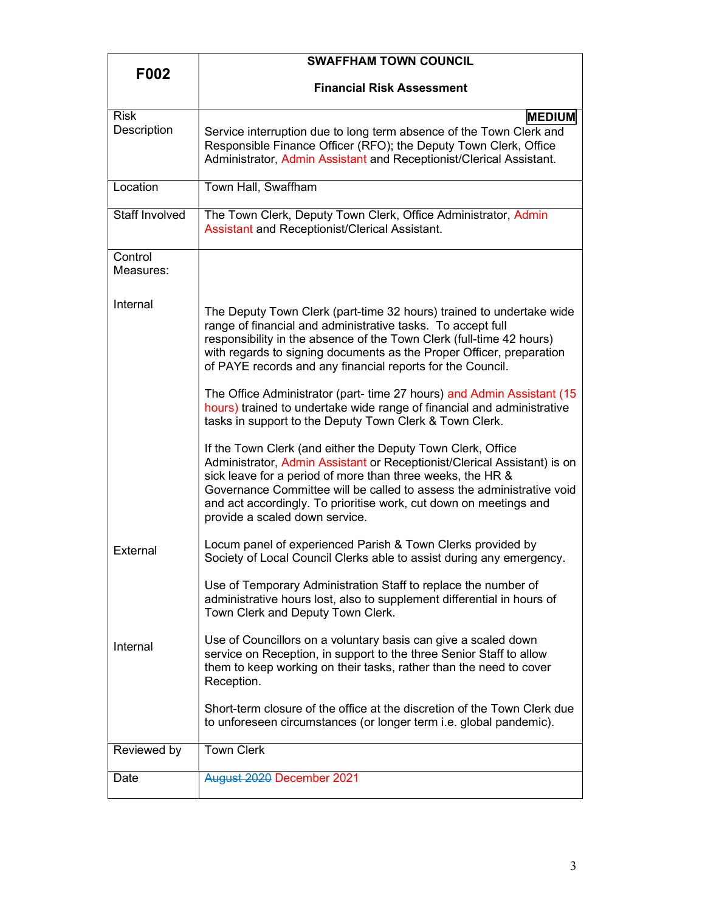| F002                       | <b>SWAFFHAM TOWN COUNCIL</b>                                                                                                                                                                                                                                                                                                                                                          |
|----------------------------|---------------------------------------------------------------------------------------------------------------------------------------------------------------------------------------------------------------------------------------------------------------------------------------------------------------------------------------------------------------------------------------|
|                            | <b>Financial Risk Assessment</b>                                                                                                                                                                                                                                                                                                                                                      |
| <b>Risk</b><br>Description | <b>MEDIUM</b><br>Service interruption due to long term absence of the Town Clerk and<br>Responsible Finance Officer (RFO); the Deputy Town Clerk, Office<br>Administrator, Admin Assistant and Receptionist/Clerical Assistant.                                                                                                                                                       |
| Location                   | Town Hall, Swaffham                                                                                                                                                                                                                                                                                                                                                                   |
| <b>Staff Involved</b>      | The Town Clerk, Deputy Town Clerk, Office Administrator, Admin<br><b>Assistant and Receptionist/Clerical Assistant.</b>                                                                                                                                                                                                                                                               |
| Control<br>Measures:       |                                                                                                                                                                                                                                                                                                                                                                                       |
| Internal                   | The Deputy Town Clerk (part-time 32 hours) trained to undertake wide<br>range of financial and administrative tasks. To accept full<br>responsibility in the absence of the Town Clerk (full-time 42 hours)<br>with regards to signing documents as the Proper Officer, preparation<br>of PAYE records and any financial reports for the Council.                                     |
|                            | The Office Administrator (part- time 27 hours) and Admin Assistant (15<br>hours) trained to undertake wide range of financial and administrative<br>tasks in support to the Deputy Town Clerk & Town Clerk.                                                                                                                                                                           |
|                            | If the Town Clerk (and either the Deputy Town Clerk, Office<br>Administrator, Admin Assistant or Receptionist/Clerical Assistant) is on<br>sick leave for a period of more than three weeks, the HR &<br>Governance Committee will be called to assess the administrative void<br>and act accordingly. To prioritise work, cut down on meetings and<br>provide a scaled down service. |
| External                   | Locum panel of experienced Parish & Town Clerks provided by<br>Society of Local Council Clerks able to assist during any emergency.                                                                                                                                                                                                                                                   |
|                            | Use of Temporary Administration Staff to replace the number of<br>administrative hours lost, also to supplement differential in hours of<br>Town Clerk and Deputy Town Clerk.                                                                                                                                                                                                         |
| Internal                   | Use of Councillors on a voluntary basis can give a scaled down<br>service on Reception, in support to the three Senior Staff to allow<br>them to keep working on their tasks, rather than the need to cover<br>Reception.                                                                                                                                                             |
|                            | Short-term closure of the office at the discretion of the Town Clerk due<br>to unforeseen circumstances (or longer term <i>i.e.</i> global pandemic).                                                                                                                                                                                                                                 |
| Reviewed by                | <b>Town Clerk</b>                                                                                                                                                                                                                                                                                                                                                                     |
| Date                       | August 2020 December 2021                                                                                                                                                                                                                                                                                                                                                             |
|                            |                                                                                                                                                                                                                                                                                                                                                                                       |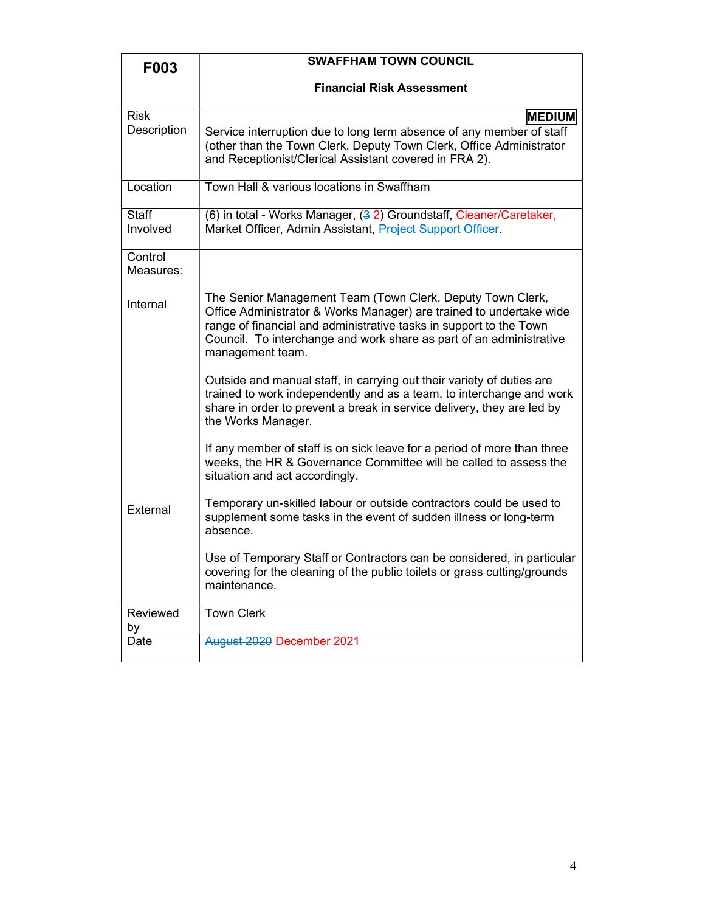| F003                       | <b>SWAFFHAM TOWN COUNCIL</b>                                                                                                                                                                                                                                                                       |
|----------------------------|----------------------------------------------------------------------------------------------------------------------------------------------------------------------------------------------------------------------------------------------------------------------------------------------------|
|                            | <b>Financial Risk Assessment</b>                                                                                                                                                                                                                                                                   |
| <b>Risk</b><br>Description | <b>MEDIUM</b><br>Service interruption due to long term absence of any member of staff<br>(other than the Town Clerk, Deputy Town Clerk, Office Administrator<br>and Receptionist/Clerical Assistant covered in FRA 2).                                                                             |
| Location                   | Town Hall & various locations in Swaffham                                                                                                                                                                                                                                                          |
| <b>Staff</b><br>Involved   | (6) in total - Works Manager, (32) Groundstaff, Cleaner/Caretaker,<br>Market Officer, Admin Assistant, Project Support Officer.                                                                                                                                                                    |
| Control<br>Measures:       |                                                                                                                                                                                                                                                                                                    |
| Internal                   | The Senior Management Team (Town Clerk, Deputy Town Clerk,<br>Office Administrator & Works Manager) are trained to undertake wide<br>range of financial and administrative tasks in support to the Town<br>Council. To interchange and work share as part of an administrative<br>management team. |
|                            | Outside and manual staff, in carrying out their variety of duties are<br>trained to work independently and as a team, to interchange and work<br>share in order to prevent a break in service delivery, they are led by<br>the Works Manager.                                                      |
|                            | If any member of staff is on sick leave for a period of more than three<br>weeks, the HR & Governance Committee will be called to assess the<br>situation and act accordingly.                                                                                                                     |
| <b>Fxternal</b>            | Temporary un-skilled labour or outside contractors could be used to<br>supplement some tasks in the event of sudden illness or long-term<br>absence.                                                                                                                                               |
|                            | Use of Temporary Staff or Contractors can be considered, in particular<br>covering for the cleaning of the public toilets or grass cutting/grounds<br>maintenance.                                                                                                                                 |
| Reviewed<br>by             | <b>Town Clerk</b>                                                                                                                                                                                                                                                                                  |
| Date                       | August 2020 December 2021                                                                                                                                                                                                                                                                          |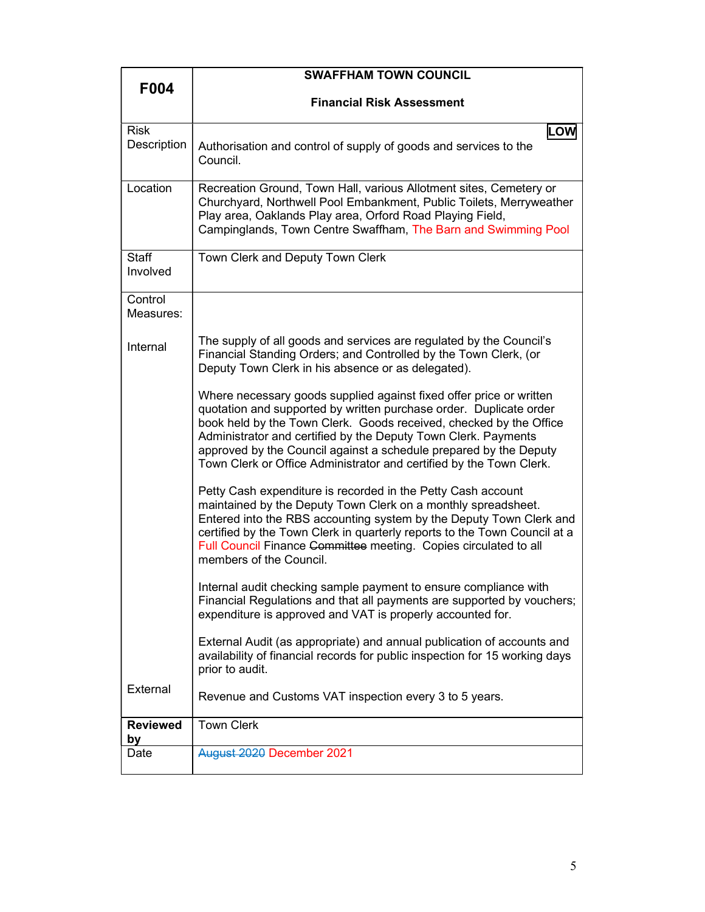|                            | <b>SWAFFHAM TOWN COUNCIL</b>                                                                                                                                                                                                                                                                                                                                                                                                  |
|----------------------------|-------------------------------------------------------------------------------------------------------------------------------------------------------------------------------------------------------------------------------------------------------------------------------------------------------------------------------------------------------------------------------------------------------------------------------|
| F004                       | <b>Financial Risk Assessment</b>                                                                                                                                                                                                                                                                                                                                                                                              |
|                            |                                                                                                                                                                                                                                                                                                                                                                                                                               |
| <b>Risk</b><br>Description | LOW<br>Authorisation and control of supply of goods and services to the<br>Council.                                                                                                                                                                                                                                                                                                                                           |
| Location                   | Recreation Ground, Town Hall, various Allotment sites, Cemetery or<br>Churchyard, Northwell Pool Embankment, Public Toilets, Merryweather<br>Play area, Oaklands Play area, Orford Road Playing Field,<br>Campinglands, Town Centre Swaffham, The Barn and Swimming Pool                                                                                                                                                      |
| <b>Staff</b><br>Involved   | Town Clerk and Deputy Town Clerk                                                                                                                                                                                                                                                                                                                                                                                              |
| Control<br>Measures:       |                                                                                                                                                                                                                                                                                                                                                                                                                               |
| Internal                   | The supply of all goods and services are regulated by the Council's<br>Financial Standing Orders; and Controlled by the Town Clerk, (or<br>Deputy Town Clerk in his absence or as delegated).                                                                                                                                                                                                                                 |
|                            | Where necessary goods supplied against fixed offer price or written<br>quotation and supported by written purchase order. Duplicate order<br>book held by the Town Clerk. Goods received, checked by the Office<br>Administrator and certified by the Deputy Town Clerk. Payments<br>approved by the Council against a schedule prepared by the Deputy<br>Town Clerk or Office Administrator and certified by the Town Clerk. |
|                            | Petty Cash expenditure is recorded in the Petty Cash account<br>maintained by the Deputy Town Clerk on a monthly spreadsheet.<br>Entered into the RBS accounting system by the Deputy Town Clerk and<br>certified by the Town Clerk in quarterly reports to the Town Council at a<br>Full Council Finance Committee meeting. Copies circulated to all<br>members of the Council.                                              |
|                            | Internal audit checking sample payment to ensure compliance with<br>Financial Regulations and that all payments are supported by vouchers;<br>expenditure is approved and VAT is properly accounted for.                                                                                                                                                                                                                      |
|                            | External Audit (as appropriate) and annual publication of accounts and<br>availability of financial records for public inspection for 15 working days<br>prior to audit.                                                                                                                                                                                                                                                      |
| External                   | Revenue and Customs VAT inspection every 3 to 5 years.                                                                                                                                                                                                                                                                                                                                                                        |
| <b>Reviewed</b><br>by      | <b>Town Clerk</b>                                                                                                                                                                                                                                                                                                                                                                                                             |
| Date                       | August 2020 December 2021                                                                                                                                                                                                                                                                                                                                                                                                     |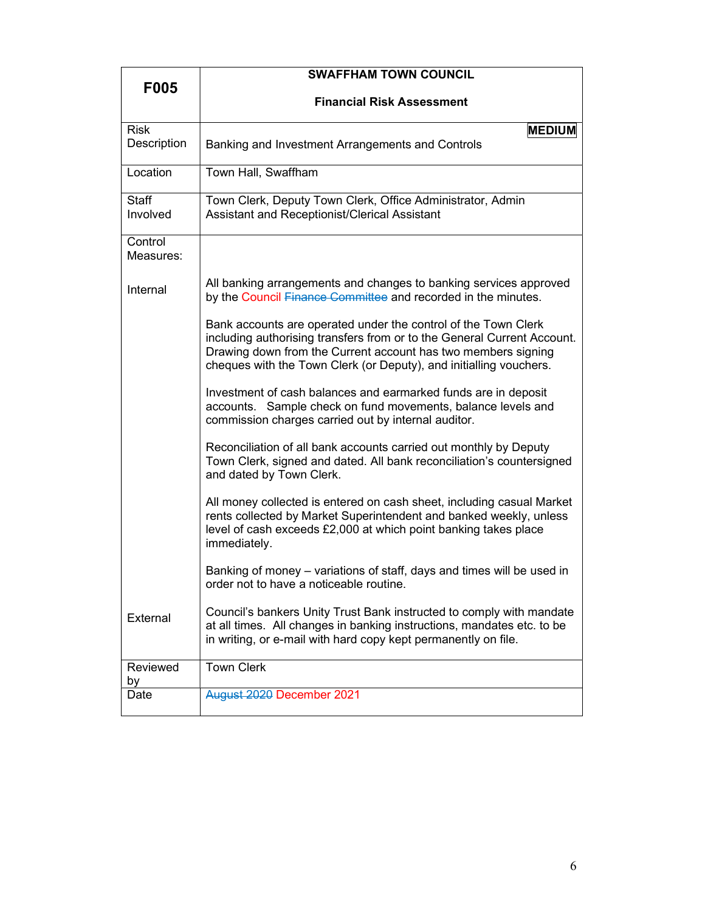|                            | <b>SWAFFHAM TOWN COUNCIL</b>                                                                                                                                                                                                                                                     |
|----------------------------|----------------------------------------------------------------------------------------------------------------------------------------------------------------------------------------------------------------------------------------------------------------------------------|
| <b>F005</b>                | <b>Financial Risk Assessment</b>                                                                                                                                                                                                                                                 |
| <b>Risk</b><br>Description | <b>MEDIUM</b><br>Banking and Investment Arrangements and Controls                                                                                                                                                                                                                |
| Location                   | Town Hall, Swaffham                                                                                                                                                                                                                                                              |
| Staff<br>Involved          | Town Clerk, Deputy Town Clerk, Office Administrator, Admin<br>Assistant and Receptionist/Clerical Assistant                                                                                                                                                                      |
| Control<br>Measures:       |                                                                                                                                                                                                                                                                                  |
| Internal                   | All banking arrangements and changes to banking services approved<br>by the Council Finance Committee and recorded in the minutes.                                                                                                                                               |
|                            | Bank accounts are operated under the control of the Town Clerk<br>including authorising transfers from or to the General Current Account.<br>Drawing down from the Current account has two members signing<br>cheques with the Town Clerk (or Deputy), and initialling vouchers. |
|                            | Investment of cash balances and earmarked funds are in deposit<br>accounts. Sample check on fund movements, balance levels and<br>commission charges carried out by internal auditor.                                                                                            |
|                            | Reconciliation of all bank accounts carried out monthly by Deputy<br>Town Clerk, signed and dated. All bank reconciliation's countersigned<br>and dated by Town Clerk.                                                                                                           |
|                            | All money collected is entered on cash sheet, including casual Market<br>rents collected by Market Superintendent and banked weekly, unless<br>level of cash exceeds £2,000 at which point banking takes place<br>immediately.                                                   |
|                            | Banking of money – variations of staff, days and times will be used in<br>order not to have a noticeable routine.                                                                                                                                                                |
| External                   | Council's bankers Unity Trust Bank instructed to comply with mandate<br>at all times. All changes in banking instructions, mandates etc. to be<br>in writing, or e-mail with hard copy kept permanently on file.                                                                 |
| Reviewed<br>by             | <b>Town Clerk</b>                                                                                                                                                                                                                                                                |
| Date                       | August 2020 December 2021                                                                                                                                                                                                                                                        |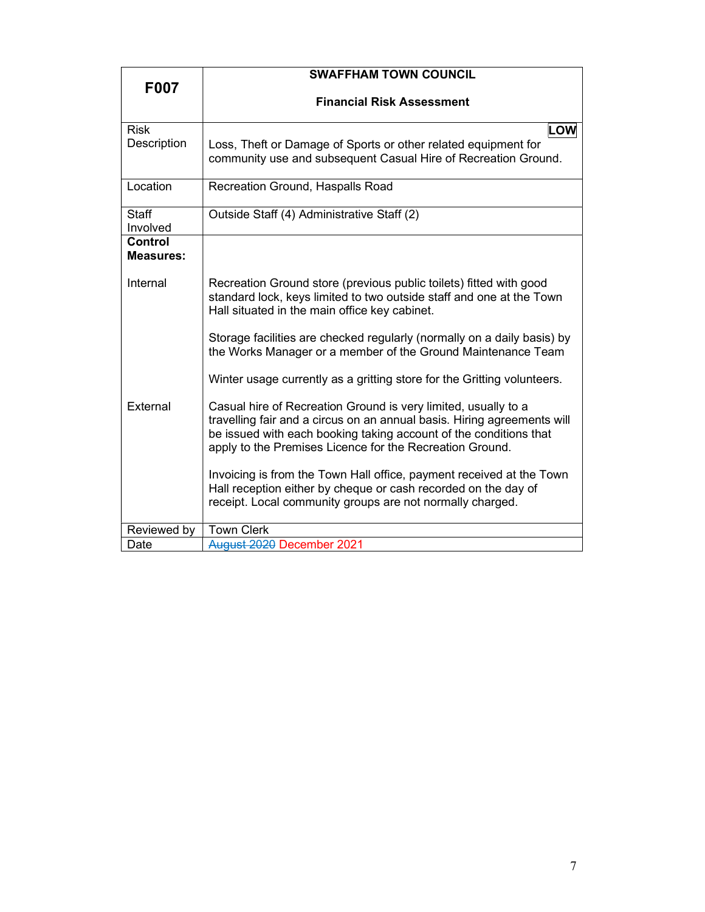|                                    | <b>SWAFFHAM TOWN COUNCIL</b>                                            |
|------------------------------------|-------------------------------------------------------------------------|
| F007                               |                                                                         |
|                                    | <b>Financial Risk Assessment</b>                                        |
|                                    |                                                                         |
| <b>Risk</b>                        | LOW                                                                     |
| Description                        | Loss, Theft or Damage of Sports or other related equipment for          |
|                                    | community use and subsequent Casual Hire of Recreation Ground.          |
|                                    |                                                                         |
| Location                           | Recreation Ground, Haspalls Road                                        |
|                                    |                                                                         |
| <b>Staff</b>                       | Outside Staff (4) Administrative Staff (2)                              |
| Involved                           |                                                                         |
| <b>Control</b><br><b>Measures:</b> |                                                                         |
|                                    |                                                                         |
| Internal                           | Recreation Ground store (previous public toilets) fitted with good      |
|                                    | standard lock, keys limited to two outside staff and one at the Town    |
|                                    | Hall situated in the main office key cabinet.                           |
|                                    |                                                                         |
|                                    | Storage facilities are checked regularly (normally on a daily basis) by |
|                                    | the Works Manager or a member of the Ground Maintenance Team            |
|                                    | Winter usage currently as a gritting store for the Gritting volunteers. |
|                                    |                                                                         |
| External                           | Casual hire of Recreation Ground is very limited, usually to a          |
|                                    | travelling fair and a circus on an annual basis. Hiring agreements will |
|                                    | be issued with each booking taking account of the conditions that       |
|                                    | apply to the Premises Licence for the Recreation Ground.                |
|                                    | Invoicing is from the Town Hall office, payment received at the Town    |
|                                    | Hall reception either by cheque or cash recorded on the day of          |
|                                    | receipt. Local community groups are not normally charged.               |
|                                    |                                                                         |
| Reviewed by                        | <b>Town Clerk</b>                                                       |
| Date                               | August 2020 December 2021                                               |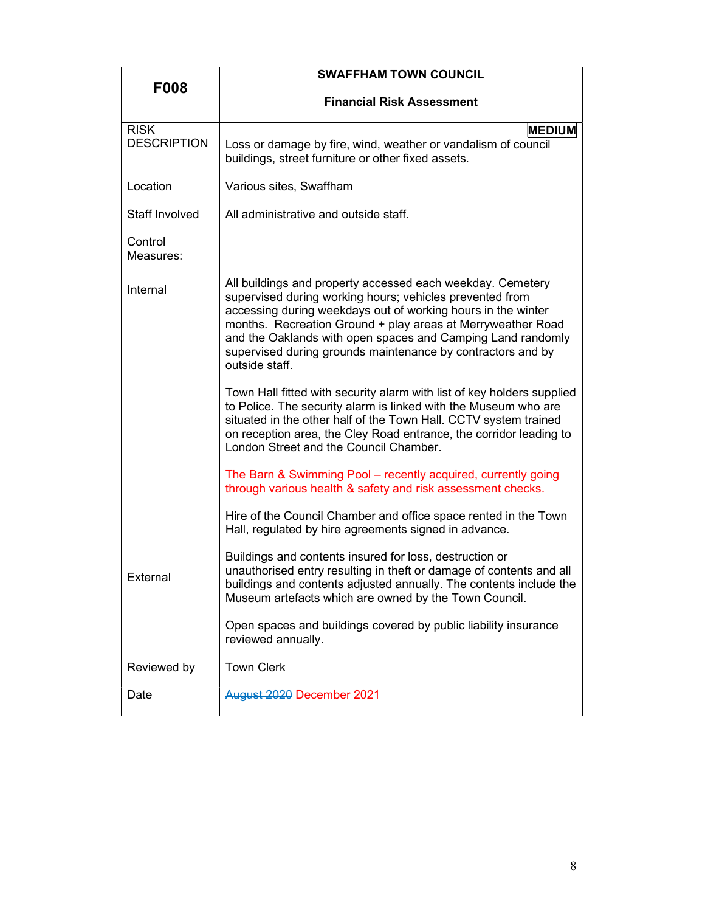| <b>F008</b>          | <b>SWAFFHAM TOWN COUNCIL</b>                                                                                                                                                                                                                                                                                                                                                                          |
|----------------------|-------------------------------------------------------------------------------------------------------------------------------------------------------------------------------------------------------------------------------------------------------------------------------------------------------------------------------------------------------------------------------------------------------|
|                      | <b>Financial Risk Assessment</b>                                                                                                                                                                                                                                                                                                                                                                      |
| <b>RISK</b>          | <b>MEDIUM</b>                                                                                                                                                                                                                                                                                                                                                                                         |
| <b>DESCRIPTION</b>   | Loss or damage by fire, wind, weather or vandalism of council<br>buildings, street furniture or other fixed assets.                                                                                                                                                                                                                                                                                   |
| Location             | Various sites, Swaffham                                                                                                                                                                                                                                                                                                                                                                               |
| Staff Involved       | All administrative and outside staff.                                                                                                                                                                                                                                                                                                                                                                 |
| Control<br>Measures: |                                                                                                                                                                                                                                                                                                                                                                                                       |
| Internal             | All buildings and property accessed each weekday. Cemetery<br>supervised during working hours; vehicles prevented from<br>accessing during weekdays out of working hours in the winter<br>months. Recreation Ground + play areas at Merryweather Road<br>and the Oaklands with open spaces and Camping Land randomly<br>supervised during grounds maintenance by contractors and by<br>outside staff. |
|                      | Town Hall fitted with security alarm with list of key holders supplied<br>to Police. The security alarm is linked with the Museum who are<br>situated in the other half of the Town Hall. CCTV system trained<br>on reception area, the Cley Road entrance, the corridor leading to<br>London Street and the Council Chamber.                                                                         |
|                      | The Barn & Swimming Pool – recently acquired, currently going<br>through various health & safety and risk assessment checks.                                                                                                                                                                                                                                                                          |
|                      | Hire of the Council Chamber and office space rented in the Town<br>Hall, regulated by hire agreements signed in advance.                                                                                                                                                                                                                                                                              |
| <b>External</b>      | Buildings and contents insured for loss, destruction or<br>unauthorised entry resulting in theft or damage of contents and all<br>buildings and contents adjusted annually. The contents include the<br>Museum artefacts which are owned by the Town Council.                                                                                                                                         |
|                      | Open spaces and buildings covered by public liability insurance<br>reviewed annually.                                                                                                                                                                                                                                                                                                                 |
| Reviewed by          | <b>Town Clerk</b>                                                                                                                                                                                                                                                                                                                                                                                     |
| Date                 | August 2020 December 2021                                                                                                                                                                                                                                                                                                                                                                             |